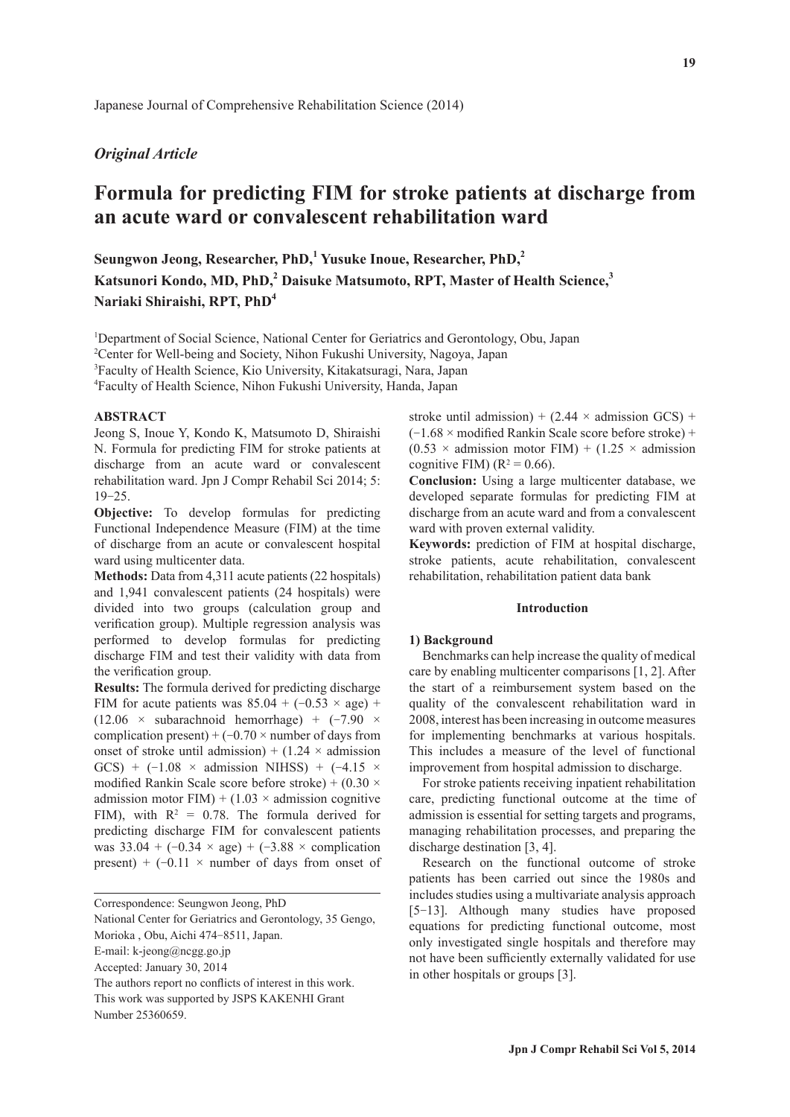# *Original Article*

# **Formula for predicting FIM for stroke patients at discharge from an acute ward or convalescent rehabilitation ward**

**Seungwon Jeong, Researcher, PhD,<sup>1</sup> Yusuke Inoue, Researcher, PhD,<sup>2</sup> Katsunori Kondo, MD, PhD,<sup>2</sup> Daisuke Matsumoto, RPT, Master of Health Science,3 Nariaki Shiraishi, RPT, PhD<sup>4</sup>**

<sup>1</sup>Department of Social Science, National Center for Geriatrics and Gerontology, Obu, Japan 2 Center for Well-being and Society, Nihon Fukushi University, Nagoya, Japan

3 Faculty of Health Science, Kio University, Kitakatsuragi, Nara, Japan

4 Faculty of Health Science, Nihon Fukushi University, Handa, Japan

## **ABSTRACT**

Jeong S, Inoue Y, Kondo K, Matsumoto D, Shiraishi N. Formula for predicting FIM for stroke patients at discharge from an acute ward or convalescent rehabilitation ward. Jpn J Compr Rehabil Sci 2014; 5: 19-25.

**Objective:** To develop formulas for predicting Functional Independence Measure (FIM) at the time of discharge from an acute or convalescent hospital ward using multicenter data.

**Methods:** Data from 4,311 acute patients (22 hospitals) and 1,941 convalescent patients (24 hospitals) were divided into two groups (calculation group and verification group). Multiple regression analysis was performed to develop formulas for predicting discharge FIM and test their validity with data from the verification group.

**Results:** The formula derived for predicting discharge FIM for acute patients was  $85.04 + (-0.53 \times age) +$  $(12.06 \times$  subarachnoid hemorrhage) +  $(-7.90 \times$ complication present) +  $(-0.70 \times$  number of days from onset of stroke until admission) +  $(1.24 \times$  admission GCS) +  $(-1.08 \times \text{admission NIHSS})$  +  $(-4.15 \times$ modified Rankin Scale score before stroke) +  $(0.30 \times$ admission motor FIM) + (1.03  $\times$  admission cognitive FIM), with  $R^2 = 0.78$ . The formula derived for predicting discharge FIM for convalescent patients was  $33.04 + (-0.34 \times age) + (-3.88 \times complication$ present) +  $(-0.11 \times$  number of days from onset of

Correspondence: Seungwon Jeong, PhD

National Center for Geriatrics and Gerontology, 35 Gengo,

Morioka , Obu, Aichi 474-8511, Japan.

The authors report no conflicts of interest in this work. This work was supported by JSPS KAKENHI Grant

stroke until admission) +  $(2.44 \times \text{admission GCS})$  +  $(-1.68 \times \text{modified Rankin Scale score before stroke}) +$  $(0.53 \times$  admission motor FIM) + (1.25  $\times$  admission cognitive FIM)  $(R^2 = 0.66)$ .

**Conclusion:** Using a large multicenter database, we developed separate formulas for predicting FIM at discharge from an acute ward and from a convalescent ward with proven external validity.

**Keywords:** prediction of FIM at hospital discharge, stroke patients, acute rehabilitation, convalescent rehabilitation, rehabilitation patient data bank

# **Introduction**

## **1) Background**

Benchmarks can help increase the quality of medical care by enabling multicenter comparisons [1, 2]. After the start of a reimbursement system based on the quality of the convalescent rehabilitation ward in 2008, interest has been increasing in outcome measures for implementing benchmarks at various hospitals. This includes a measure of the level of functional improvement from hospital admission to discharge.

For stroke patients receiving inpatient rehabilitation care, predicting functional outcome at the time of admission is essential for setting targets and programs, managing rehabilitation processes, and preparing the discharge destination [3, 4].

Research on the functional outcome of stroke patients has been carried out since the 1980s and includes studies using a multivariate analysis approach [5-13]. Although many studies have proposed equations for predicting functional outcome, most only investigated single hospitals and therefore may not have been sufficiently externally validated for use in other hospitals or groups [3].

E-mail: k-jeong@ncgg.go.jp

Accepted: January 30, 2014

Number 25360659.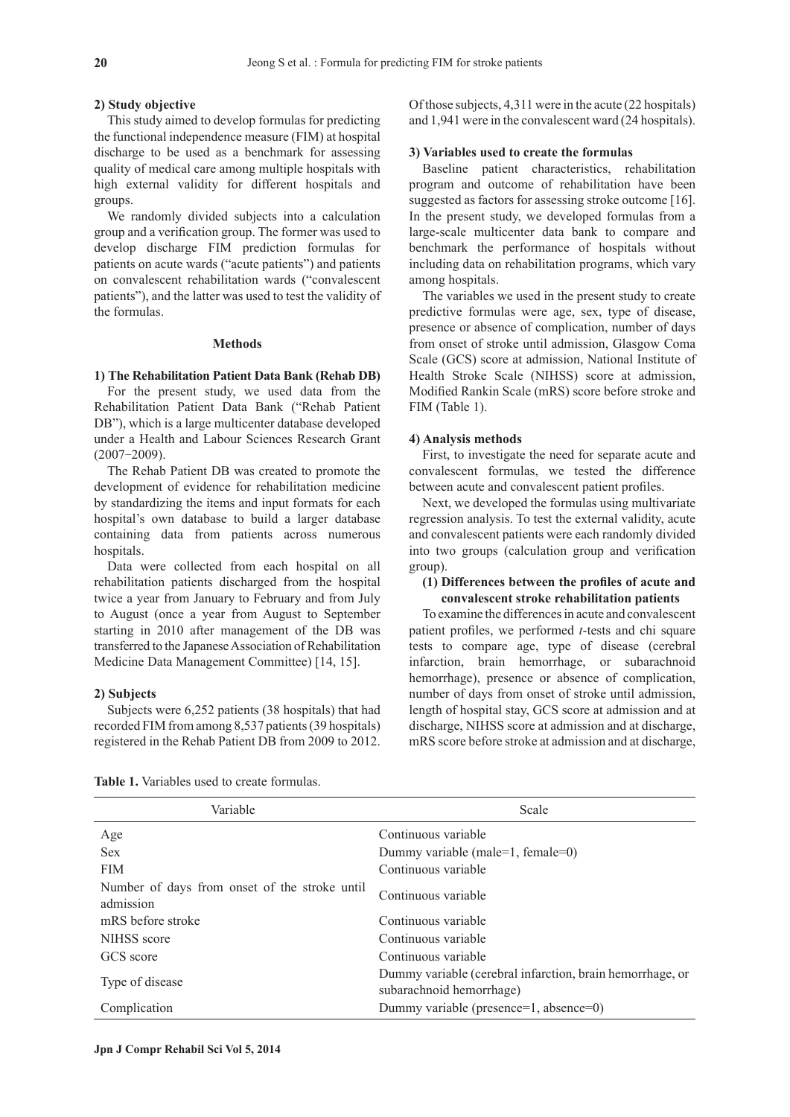#### **2) Study objective**

This study aimed to develop formulas for predicting the functional independence measure (FIM) at hospital discharge to be used as a benchmark for assessing quality of medical care among multiple hospitals with high external validity for different hospitals and groups.

We randomly divided subjects into a calculation group and a verification group. The former was used to develop discharge FIM prediction formulas for patients on acute wards ("acute patients") and patients on convalescent rehabilitation wards ("convalescent patients"), and the latter was used to test the validity of the formulas.

## **Methods**

#### **1) The Rehabilitation Patient Data Bank (Rehab DB)**

For the present study, we used data from the Rehabilitation Patient Data Bank ("Rehab Patient DB"), which is a large multicenter database developed under a Health and Labour Sciences Research Grant (2007-2009).

The Rehab Patient DB was created to promote the development of evidence for rehabilitation medicine by standardizing the items and input formats for each hospital's own database to build a larger database containing data from patients across numerous hospitals.

Data were collected from each hospital on all rehabilitation patients discharged from the hospital twice a year from January to February and from July to August (once a year from August to September starting in 2010 after management of the DB was transferred to the Japanese Association of Rehabilitation Medicine Data Management Committee) [14, 15].

## **2) Subjects**

Subjects were 6,252 patients (38 hospitals) that had recorded FIM from among 8,537 patients (39 hospitals) registered in the Rehab Patient DB from 2009 to 2012. Of those subjects, 4,311 were in the acute (22 hospitals) and 1,941 were in the convalescent ward (24 hospitals).

# **3) Variables used to create the formulas**

Baseline patient characteristics, rehabilitation program and outcome of rehabilitation have been suggested as factors for assessing stroke outcome [16]. In the present study, we developed formulas from a large-scale multicenter data bank to compare and benchmark the performance of hospitals without including data on rehabilitation programs, which vary among hospitals.

The variables we used in the present study to create predictive formulas were age, sex, type of disease, presence or absence of complication, number of days from onset of stroke until admission, Glasgow Coma Scale (GCS) score at admission, National Institute of Health Stroke Scale (NIHSS) score at admission, Modified Rankin Scale (mRS) score before stroke and FIM (Table 1).

#### **4) Analysis methods**

First, to investigate the need for separate acute and convalescent formulas, we tested the difference between acute and convalescent patient profiles.

Next, we developed the formulas using multivariate regression analysis. To test the external validity, acute and convalescent patients were each randomly divided into two groups (calculation group and verification group).

# **(1) Differences between the profiles of acute and convalescent stroke rehabilitation patients**

To examine the differences in acute and convalescent patient profiles, we performed *t*-tests and chi square tests to compare age, type of disease (cerebral infarction, brain hemorrhage, or subarachnoid hemorrhage), presence or absence of complication, number of days from onset of stroke until admission, length of hospital stay, GCS score at admission and at discharge, NIHSS score at admission and at discharge, mRS score before stroke at admission and at discharge,

| Variable                                                   | Scale                                                                                 |
|------------------------------------------------------------|---------------------------------------------------------------------------------------|
| Age                                                        | Continuous variable                                                                   |
| <b>Sex</b>                                                 | Dummy variable (male=1, female=0)                                                     |
| <b>FIM</b>                                                 | Continuous variable                                                                   |
| Number of days from onset of the stroke until<br>admission | Continuous variable                                                                   |
| mRS before stroke                                          | Continuous variable                                                                   |
| NIHSS score                                                | Continuous variable                                                                   |
| GCS score                                                  | Continuous variable                                                                   |
| Type of disease                                            | Dummy variable (cerebral infarction, brain hemorrhage, or<br>subarachnoid hemorrhage) |
| Complication                                               | Dummy variable (presence=1, absence=0)                                                |

**Table 1.** Variables used to create formulas.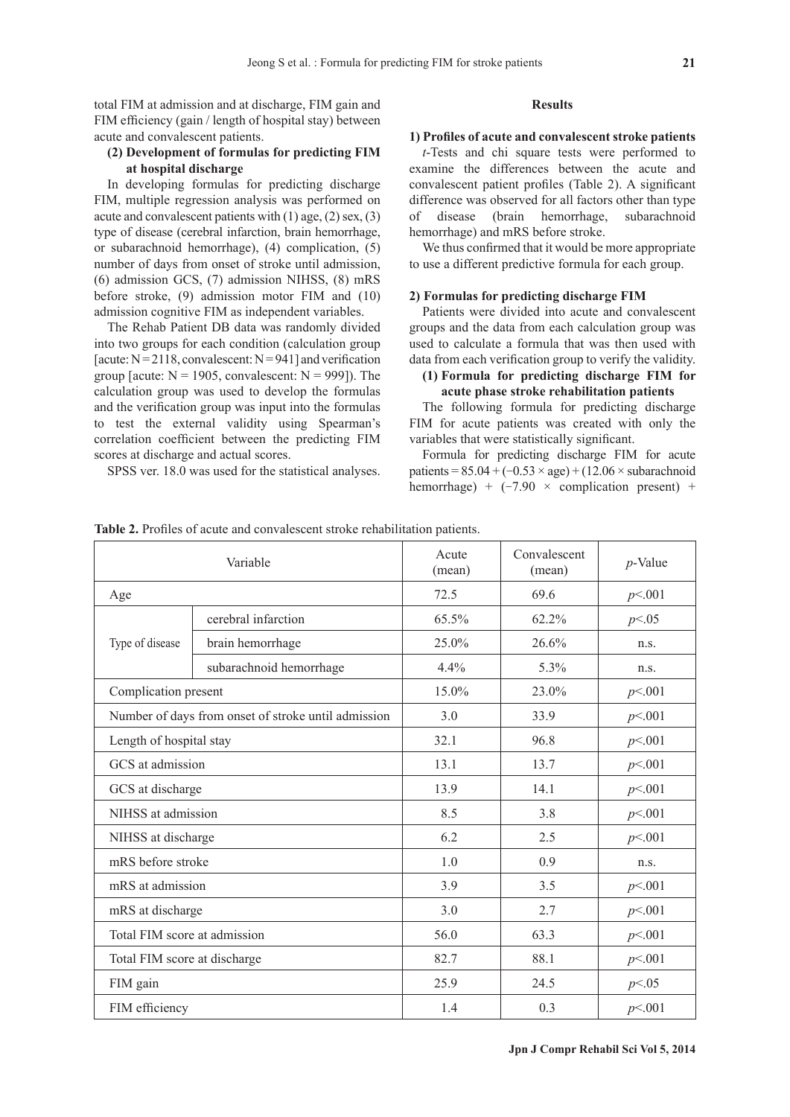total FIM at admission and at discharge, FIM gain and FIM efficiency (gain / length of hospital stay) between acute and convalescent patients.

# **(2) Development of formulas for predicting FIM at hospital discharge**

In developing formulas for predicting discharge FIM, multiple regression analysis was performed on acute and convalescent patients with (1) age, (2) sex, (3) type of disease (cerebral infarction, brain hemorrhage, or subarachnoid hemorrhage), (4) complication, (5) number of days from onset of stroke until admission, (6) admission GCS, (7) admission NIHSS, (8) mRS before stroke, (9) admission motor FIM and (10) admission cognitive FIM as independent variables.

The Rehab Patient DB data was randomly divided into two groups for each condition (calculation group [acute:  $N = 2118$ , convalescent:  $N = 941$ ] and verification group [acute:  $N = 1905$ , convalescent:  $N = 999$ ]). The calculation group was used to develop the formulas and the verification group was input into the formulas to test the external validity using Spearman's correlation coefficient between the predicting FIM scores at discharge and actual scores.

SPSS ver. 18.0 was used for the statistical analyses.

#### **Results**

**1) Profiles of acute and convalescent stroke patients**

*t*-Tests and chi square tests were performed to examine the differences between the acute and convalescent patient profiles (Table 2). A significant difference was observed for all factors other than type of disease (brain hemorrhage, subarachnoid hemorrhage) and mRS before stroke.

We thus confirmed that it would be more appropriate to use a different predictive formula for each group.

#### **2) Formulas for predicting discharge FIM**

Patients were divided into acute and convalescent groups and the data from each calculation group was used to calculate a formula that was then used with data from each verification group to verify the validity.

# **(1) Formula for predicting discharge FIM for acute phase stroke rehabilitation patients**

The following formula for predicting discharge FIM for acute patients was created with only the variables that were statistically significant.

Formula for predicting discharge FIM for acute patients =  $85.04 + (-0.53 \times age) + (12.06 \times subarachnoid)$ hemorrhage) +  $(-7.90 \times$  complication present) +

**Table 2.** Profiles of acute and convalescent stroke rehabilitation patients.

|                                                     | Variable                | Acute<br>(mean) | Convalescent<br>(mean) | $p$ -Value |
|-----------------------------------------------------|-------------------------|-----------------|------------------------|------------|
| Age                                                 |                         | 72.5            | 69.6                   | p<.001     |
| Type of disease                                     | cerebral infarction     | 65.5%           | 62.2%                  | p<0.05     |
|                                                     | brain hemorrhage        | 25.0%           | 26.6%                  | n.s.       |
|                                                     | subarachnoid hemorrhage | 4.4%            | 5.3%                   | n.s.       |
| Complication present                                |                         | 15.0%           | 23.0%                  | p<.001     |
| Number of days from onset of stroke until admission |                         | 3.0             | 33.9                   | p<.001     |
| Length of hospital stay                             |                         | 32.1            | 96.8                   | p<001      |
| GCS at admission                                    |                         | 13.1            | 13.7                   | p<001      |
| GCS at discharge                                    |                         | 13.9            | 14.1                   | p<001      |
| NIHSS at admission                                  |                         | 8.5             | 3.8                    | p<.001     |
| NIHSS at discharge                                  |                         | 6.2             | 2.5                    | p<.001     |
| mRS before stroke                                   |                         | 1.0             | 0.9                    | n.s.       |
| mRS at admission                                    |                         | 3.9             | 3.5                    | p<.001     |
| mRS at discharge                                    |                         | 3.0             | 2.7                    | p<001      |
| Total FIM score at admission                        |                         | 56.0            | 63.3                   | p<001      |
| Total FIM score at discharge                        |                         | 82.7            | 88.1                   | p<.001     |
| FIM gain                                            |                         | 25.9            | 24.5                   | p<0.05     |
| FIM efficiency                                      |                         | 1.4             | 0.3                    | p<.001     |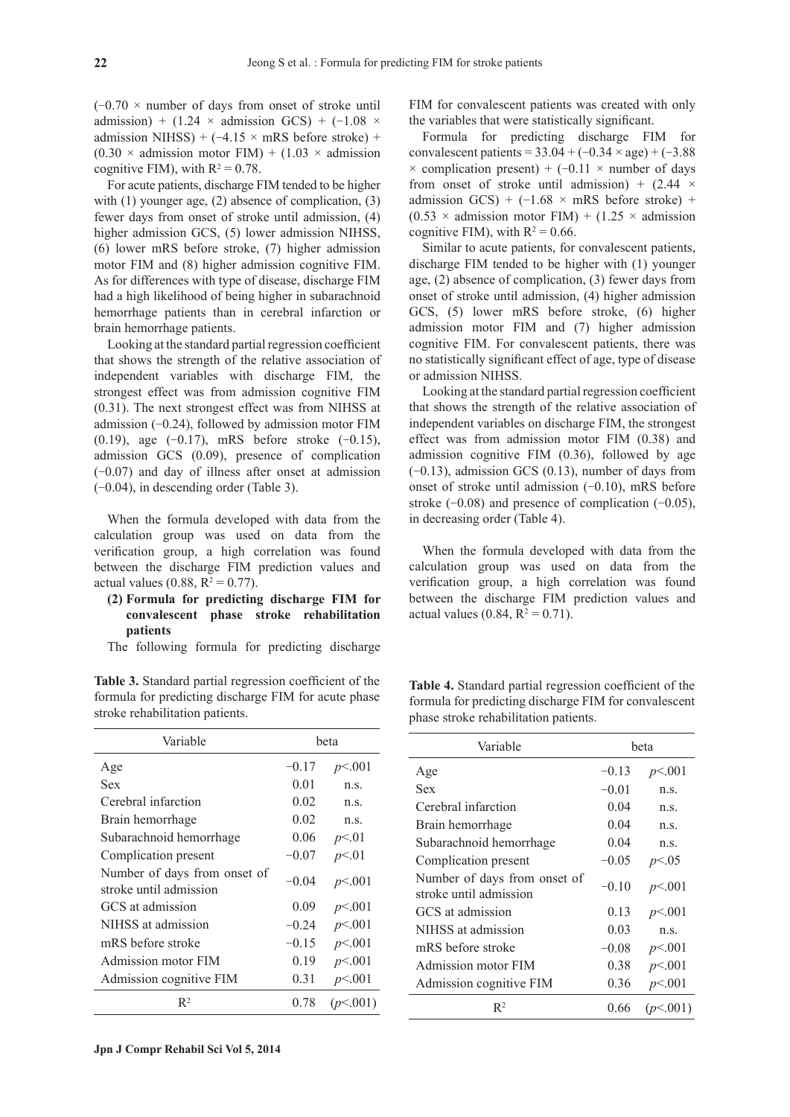$(-0.70 \times$  number of days from onset of stroke until admission) + (1.24  $\times$  admission GCS) + (-1.08  $\times$ admission NIHSS) +  $(-4.15 \times mRS)$  before stroke) +  $(0.30 \times$  admission motor FIM) + (1.03  $\times$  admission cognitive FIM), with  $R^2 = 0.78$ .

For acute patients, discharge FIM tended to be higher with (1) younger age, (2) absence of complication, (3) fewer days from onset of stroke until admission, (4) higher admission GCS, (5) lower admission NIHSS, (6) lower mRS before stroke, (7) higher admission motor FIM and (8) higher admission cognitive FIM. As for differences with type of disease, discharge FIM had a high likelihood of being higher in subarachnoid hemorrhage patients than in cerebral infarction or brain hemorrhage patients.

Looking at the standard partial regression coefficient that shows the strength of the relative association of independent variables with discharge FIM, the strongest effect was from admission cognitive FIM (0.31). The next strongest effect was from NIHSS at admission  $(-0.24)$ , followed by admission motor FIM  $(0.19)$ , age  $(-0.17)$ , mRS before stroke  $(-0.15)$ , admission GCS (0.09), presence of complication (-0.07) and day of illness after onset at admission (-0.04), in descending order (Table 3).

When the formula developed with data from the calculation group was used on data from the verification group, a high correlation was found between the discharge FIM prediction values and actual values  $(0.88, R^2 = 0.77)$ .

# **(2) Formula for predicting discharge FIM for convalescent phase stroke rehabilitation patients**

The following formula for predicting discharge

**Table 3.** Standard partial regression coefficient of the formula for predicting discharge FIM for acute phase stroke rehabilitation patients.

| Variable                                               | beta    |          |
|--------------------------------------------------------|---------|----------|
| Age                                                    | $-0.17$ | p<.001   |
| Sex                                                    | 0.01    | n.S.     |
| Cerebral infarction                                    | 0.02    | n.S.     |
| Brain hemorrhage                                       | 0.02    | n.S.     |
| Subarachnoid hemorrhage                                | 0.06    | p<01     |
| Complication present                                   | $-0.07$ | p<01     |
| Number of days from onset of<br>stroke until admission | $-0.04$ | p<.001   |
| GCS at admission                                       | 0.09    | p<.001   |
| NIHSS at admission                                     | $-0.24$ | p<.001   |
| mRS before stroke                                      | $-0.15$ | p<.001   |
| Admission motor FIM                                    | 0.19    | p<.001   |
| Admission cognitive FIM                                | 0.31    | p<.001   |
| $\mathbb{R}^2$                                         | 0.78    | (p<.001) |

FIM for convalescent patients was created with only the variables that were statistically significant.

Formula for predicting discharge FIM for convalescent patients =  $33.04 + (-0.34 \times age) + (-3.88$  $\times$  complication present) + (-0.11  $\times$  number of days from onset of stroke until admission) +  $(2.44 \times$ admission GCS) +  $(-1.68 \times mRS)$  before stroke) +  $(0.53 \times$  admission motor FIM) + (1.25  $\times$  admission cognitive FIM), with  $R^2 = 0.66$ .

Similar to acute patients, for convalescent patients, discharge FIM tended to be higher with (1) younger age, (2) absence of complication, (3) fewer days from onset of stroke until admission, (4) higher admission GCS, (5) lower mRS before stroke, (6) higher admission motor FIM and (7) higher admission cognitive FIM. For convalescent patients, there was no statistically significant effect of age, type of disease or admission NIHSS.

Looking at the standard partial regression coefficient that shows the strength of the relative association of independent variables on discharge FIM, the strongest effect was from admission motor FIM (0.38) and admission cognitive FIM (0.36), followed by age  $(-0.13)$ , admission GCS  $(0.13)$ , number of days from onset of stroke until admission  $(-0.10)$ , mRS before stroke  $(-0.08)$  and presence of complication  $(-0.05)$ , in decreasing order (Table 4).

When the formula developed with data from the calculation group was used on data from the verification group, a high correlation was found between the discharge FIM prediction values and actual values  $(0.84, R^2 = 0.71)$ .

**Table 4.** Standard partial regression coefficient of the formula for predicting discharge FIM for convalescent phase stroke rehabilitation patients.

| Variable<br>beta                                       |         |          |
|--------------------------------------------------------|---------|----------|
| Age                                                    | $-0.13$ | p<.001   |
| Sex                                                    | $-0.01$ | n.s.     |
| Cerebral infarction                                    | 0.04    | n.S.     |
| Brain hemorrhage                                       | 0.04    | n.s.     |
| Subarachnoid hemorrhage                                | 0.04    | n.s.     |
| Complication present                                   | $-0.05$ | p<0.05   |
| Number of days from onset of<br>stroke until admission | $-0.10$ | p<.001   |
| GCS at admission                                       | 0.13    | p<.001   |
| NIHSS at admission                                     | 0.03    | n.s.     |
| mRS before stroke                                      | $-0.08$ | p<.001   |
| Admission motor FIM                                    | 0.38    | p<.001   |
| Admission cognitive FIM                                | 0.36    | p<.001   |
| $\mathbb{R}^2$                                         | 0.66    | (p<.001) |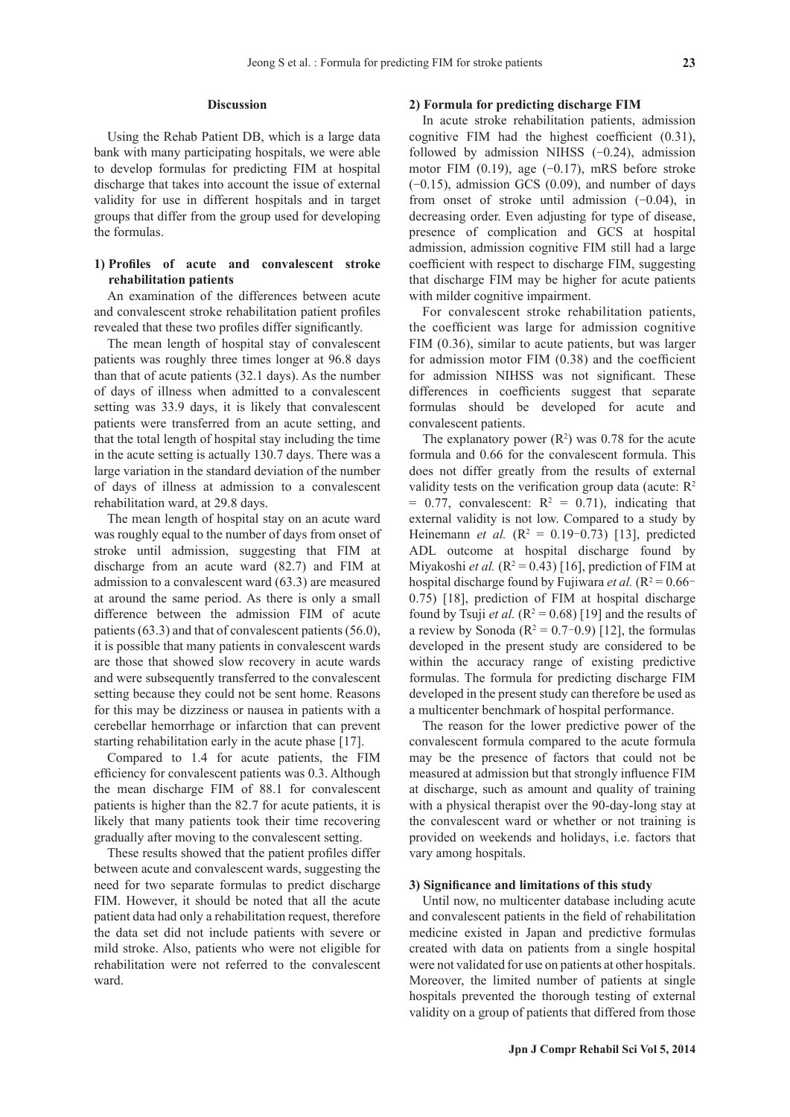## **Discussion**

Using the Rehab Patient DB, which is a large data bank with many participating hospitals, we were able to develop formulas for predicting FIM at hospital discharge that takes into account the issue of external validity for use in different hospitals and in target groups that differ from the group used for developing the formulas.

# **1) Profiles of acute and convalescent stroke rehabilitation patients**

An examination of the differences between acute and convalescent stroke rehabilitation patient profiles revealed that these two profiles differ significantly.

The mean length of hospital stay of convalescent patients was roughly three times longer at 96.8 days than that of acute patients (32.1 days). As the number of days of illness when admitted to a convalescent setting was 33.9 days, it is likely that convalescent patients were transferred from an acute setting, and that the total length of hospital stay including the time in the acute setting is actually 130.7 days. There was a large variation in the standard deviation of the number of days of illness at admission to a convalescent rehabilitation ward, at 29.8 days.

The mean length of hospital stay on an acute ward was roughly equal to the number of days from onset of stroke until admission, suggesting that FIM at discharge from an acute ward (82.7) and FIM at admission to a convalescent ward (63.3) are measured at around the same period. As there is only a small difference between the admission FIM of acute patients (63.3) and that of convalescent patients (56.0), it is possible that many patients in convalescent wards are those that showed slow recovery in acute wards and were subsequently transferred to the convalescent setting because they could not be sent home. Reasons for this may be dizziness or nausea in patients with a cerebellar hemorrhage or infarction that can prevent starting rehabilitation early in the acute phase [17].

Compared to 1.4 for acute patients, the FIM efficiency for convalescent patients was 0.3. Although the mean discharge FIM of 88.1 for convalescent patients is higher than the 82.7 for acute patients, it is likely that many patients took their time recovering gradually after moving to the convalescent setting.

These results showed that the patient profiles differ between acute and convalescent wards, suggesting the need for two separate formulas to predict discharge FIM. However, it should be noted that all the acute patient data had only a rehabilitation request, therefore the data set did not include patients with severe or mild stroke. Also, patients who were not eligible for rehabilitation were not referred to the convalescent ward.

#### **2) Formula for predicting discharge FIM**

In acute stroke rehabilitation patients, admission cognitive FIM had the highest coefficient (0.31), followed by admission NIHSS  $(-0.24)$ , admission motor FIM  $(0.19)$ , age  $(-0.17)$ , mRS before stroke  $(-0.15)$ , admission GCS  $(0.09)$ , and number of days from onset of stroke until admission  $(-0.04)$ , in decreasing order. Even adjusting for type of disease, presence of complication and GCS at hospital admission, admission cognitive FIM still had a large coefficient with respect to discharge FIM, suggesting that discharge FIM may be higher for acute patients with milder cognitive impairment.

For convalescent stroke rehabilitation patients, the coefficient was large for admission cognitive FIM (0.36), similar to acute patients, but was larger for admission motor FIM (0.38) and the coefficient for admission NIHSS was not significant. These differences in coefficients suggest that separate formulas should be developed for acute and convalescent patients.

The explanatory power  $(R^2)$  was 0.78 for the acute formula and 0.66 for the convalescent formula. This does not differ greatly from the results of external validity tests on the verification group data (acute:  $R^2$ )  $= 0.77$ , convalescent:  $R^2 = 0.71$ ), indicating that external validity is not low. Compared to a study by Heinemann *et al.* ( $R^2 = 0.19 - 0.73$ ) [13], predicted ADL outcome at hospital discharge found by Miyakoshi *et al.*  $(R^2 = 0.43)$  [16], prediction of FIM at hospital discharge found by Fujiwara *et al.*  $(R^2 = 0.66 -$ 0.75) [18], prediction of FIM at hospital discharge found by Tsuji *et al.*  $(R^2 = 0.68)$  [19] and the results of a review by Sonoda ( $R^2 = 0.7$ –0.9) [12], the formulas developed in the present study are considered to be within the accuracy range of existing predictive formulas. The formula for predicting discharge FIM developed in the present study can therefore be used as a multicenter benchmark of hospital performance.

The reason for the lower predictive power of the convalescent formula compared to the acute formula may be the presence of factors that could not be measured at admission but that strongly influence FIM at discharge, such as amount and quality of training with a physical therapist over the 90-day-long stay at the convalescent ward or whether or not training is provided on weekends and holidays, i.e. factors that vary among hospitals.

#### **3) Significance and limitations of this study**

Until now, no multicenter database including acute and convalescent patients in the field of rehabilitation medicine existed in Japan and predictive formulas created with data on patients from a single hospital were not validated for use on patients at other hospitals. Moreover, the limited number of patients at single hospitals prevented the thorough testing of external validity on a group of patients that differed from those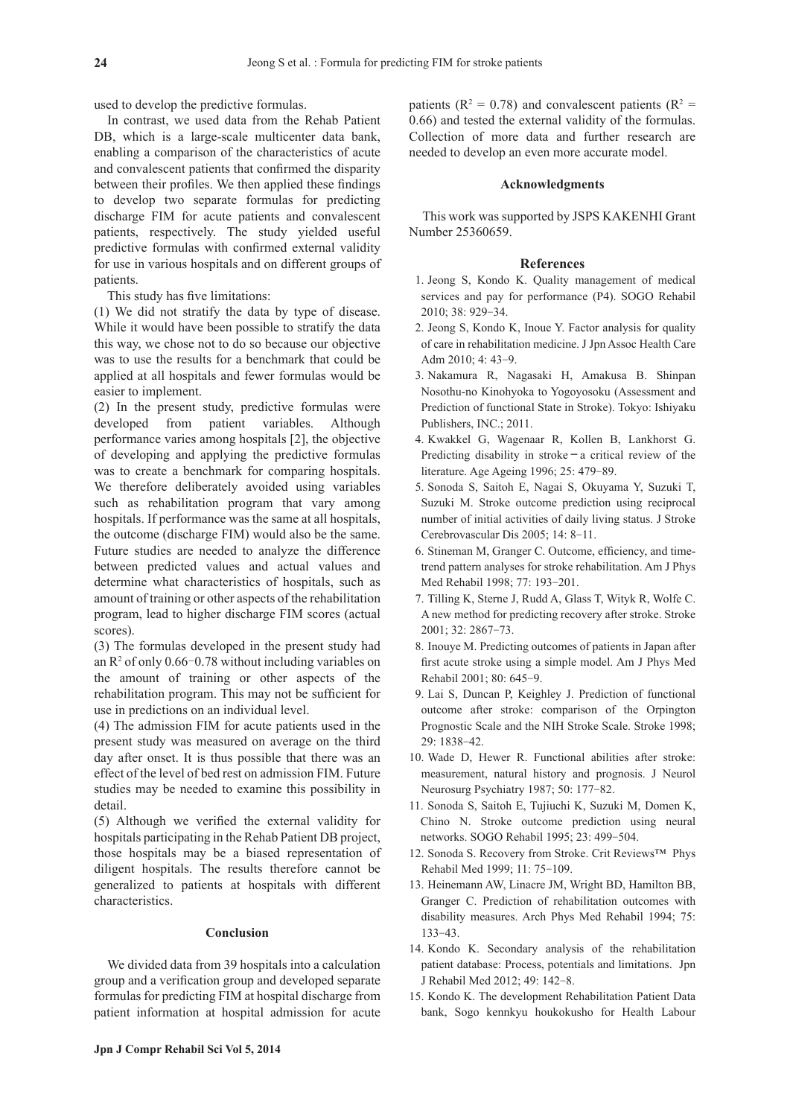used to develop the predictive formulas.

In contrast, we used data from the Rehab Patient DB, which is a large-scale multicenter data bank, enabling a comparison of the characteristics of acute and convalescent patients that confirmed the disparity between their profiles. We then applied these findings to develop two separate formulas for predicting discharge FIM for acute patients and convalescent patients, respectively. The study yielded useful predictive formulas with confirmed external validity for use in various hospitals and on different groups of patients.

This study has five limitations:

(1) We did not stratify the data by type of disease. While it would have been possible to stratify the data this way, we chose not to do so because our objective was to use the results for a benchmark that could be applied at all hospitals and fewer formulas would be easier to implement.

(2) In the present study, predictive formulas were developed from patient variables. Although performance varies among hospitals [2], the objective of developing and applying the predictive formulas was to create a benchmark for comparing hospitals. We therefore deliberately avoided using variables such as rehabilitation program that vary among hospitals. If performance was the same at all hospitals, the outcome (discharge FIM) would also be the same. Future studies are needed to analyze the difference between predicted values and actual values and determine what characteristics of hospitals, such as amount of training or other aspects of the rehabilitation program, lead to higher discharge FIM scores (actual scores).

(3) The formulas developed in the present study had an  $\mathbb{R}^2$  of only 0.66-0.78 without including variables on the amount of training or other aspects of the rehabilitation program. This may not be sufficient for use in predictions on an individual level.

(4) The admission FIM for acute patients used in the present study was measured on average on the third day after onset. It is thus possible that there was an effect of the level of bed rest on admission FIM. Future studies may be needed to examine this possibility in detail.

(5) Although we verified the external validity for hospitals participating in the Rehab Patient DB project, those hospitals may be a biased representation of diligent hospitals. The results therefore cannot be generalized to patients at hospitals with different characteristics.

#### **Conclusion**

We divided data from 39 hospitals into a calculation group and a verification group and developed separate formulas for predicting FIM at hospital discharge from patient information at hospital admission for acute

patients ( $R^2 = 0.78$ ) and convalescent patients ( $R^2 =$ 0.66) and tested the external validity of the formulas. Collection of more data and further research are needed to develop an even more accurate model.

## **Acknowledgments**

This work was supported by JSPS KAKENHI Grant Number 25360659.

#### **References**

- 1. Jeong S, Kondo K. Quality management of medical services and pay for performance (P4). SOGO Rehabil 2010; 38: 929-34.
- 2. Jeong S, Kondo K, Inoue Y. Factor analysis for quality of care in rehabilitation medicine. J Jpn Assoc Health Care Adm 2010; 4: 43-9.
- 3. Nakamura R, Nagasaki H, Amakusa B. Shinpan Nosothu-no Kinohyoka to Yogoyosoku (Assessment and Prediction of functional State in Stroke). Tokyo: Ishiyaku Publishers, INC.; 2011.
- 4. Kwakkel G, Wagenaar R, Kollen B, Lankhorst G. Predicting disability in stroke**-**a critical review of the literature. Age Ageing 1996; 25: 479-89.
- 5. Sonoda S, Saitoh E, Nagai S, Okuyama Y, Suzuki T, Suzuki M. Stroke outcome prediction using reciprocal number of initial activities of daily living status. J Stroke Cerebrovascular Dis 2005; 14: 8-11.
- 6. Stineman M, Granger C. Outcome, efficiency, and timetrend pattern analyses for stroke rehabilitation. Am J Phys Med Rehabil 1998; 77: 193-201.
- 7. Tilling K, Sterne J, Rudd A, Glass T, Wityk R, Wolfe C. A new method for predicting recovery after stroke. Stroke 2001; 32: 2867-73.
- 8. Inouye M. Predicting outcomes of patients in Japan after first acute stroke using a simple model. Am J Phys Med Rehabil 2001; 80: 645-9.
- 9. Lai S, Duncan P, Keighley J. Prediction of functional outcome after stroke: comparison of the Orpington Prognostic Scale and the NIH Stroke Scale. Stroke 1998; 29: 1838-42.
- 10. Wade D, Hewer R. Functional abilities after stroke: measurement, natural history and prognosis. J Neurol Neurosurg Psychiatry 1987; 50: 177-82.
- 11. Sonoda S, Saitoh E, Tujiuchi K, Suzuki M, Domen K, Chino N. Stroke outcome prediction using neural networks. SOGO Rehabil 1995; 23: 499-504.
- 12. Sonoda S. Recovery from Stroke. Crit Reviews™ Phys Rehabil Med 1999; 11: 75-109.
- 13. Heinemann AW, Linacre JM, Wright BD, Hamilton BB, Granger C. Prediction of rehabilitation outcomes with disability measures. Arch Phys Med Rehabil 1994; 75: 133-43.
- 14. Kondo K. Secondary analysis of the rehabilitation patient database: Process, potentials and limitations. Jpn J Rehabil Med 2012; 49: 142-8.
- 15. Kondo K. The development Rehabilitation Patient Data bank, Sogo kennkyu houkokusho for Health Labour